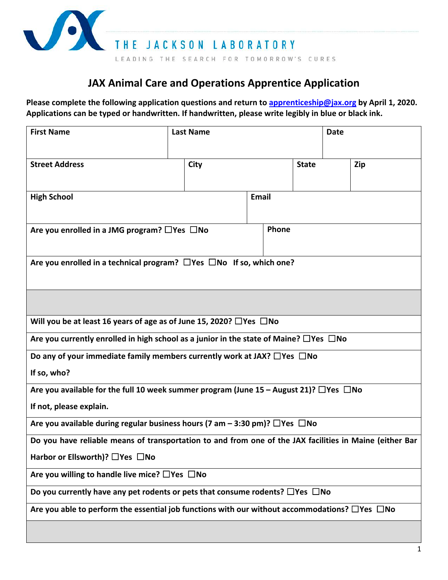

## **JAX Animal Care and Operations Apprentice Application**

**Please complete the following application questions and return to [apprenticeship@jax.org](mailto:apprenticeship@jax.org) by April 1, 2020. Applications can be typed or handwritten. If handwritten, please write legibly in blue or black ink.**

| <b>First Name</b>                                                                                         |  | <b>Last Name</b> |              |              | <b>Date</b> |     |  |
|-----------------------------------------------------------------------------------------------------------|--|------------------|--------------|--------------|-------------|-----|--|
| <b>Street Address</b>                                                                                     |  | City             |              | <b>State</b> |             | Zip |  |
| <b>High School</b>                                                                                        |  |                  | <b>Email</b> |              |             |     |  |
| Are you enrolled in a JMG program? $\Box$ Yes $\Box$ No                                                   |  |                  |              | <b>Phone</b> |             |     |  |
| Are you enrolled in a technical program? $\Box$ Yes $\Box$ No If so, which one?                           |  |                  |              |              |             |     |  |
|                                                                                                           |  |                  |              |              |             |     |  |
| Will you be at least 16 years of age as of June 15, 2020? $\Box$ Yes $\Box$ No                            |  |                  |              |              |             |     |  |
| Are you currently enrolled in high school as a junior in the state of Maine? $\Box$ Yes $\Box$ No         |  |                  |              |              |             |     |  |
| Do any of your immediate family members currently work at JAX? $\Box$ Yes $\Box$ No                       |  |                  |              |              |             |     |  |
| If so, who?                                                                                               |  |                  |              |              |             |     |  |
| Are you available for the full 10 week summer program (June 15 – August 21)? $\Box$ Yes $\Box$ No         |  |                  |              |              |             |     |  |
| If not, please explain.                                                                                   |  |                  |              |              |             |     |  |
| Are you available during regular business hours (7 am – 3:30 pm)? $\Box$ Yes $\Box$ No                    |  |                  |              |              |             |     |  |
| Do you have reliable means of transportation to and from one of the JAX facilities in Maine (either Bar   |  |                  |              |              |             |     |  |
| Harbor or Ellsworth)? □Yes □No                                                                            |  |                  |              |              |             |     |  |
| Are you willing to handle live mice? $\Box$ Yes $\Box$ No                                                 |  |                  |              |              |             |     |  |
| Do you currently have any pet rodents or pets that consume rodents? $\Box$ Yes $\Box$ No                  |  |                  |              |              |             |     |  |
| Are you able to perform the essential job functions with our without accommodations? $\Box$ Yes $\Box$ No |  |                  |              |              |             |     |  |
|                                                                                                           |  |                  |              |              |             |     |  |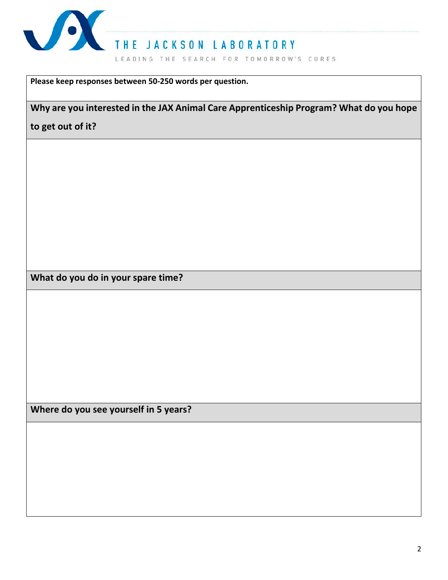

**Please keep responses between 50-250 words per question.**

**Why are you interested in the JAX Animal Care Apprenticeship Program? What do you hope** 

**to get out of it?**

**What do you do in your spare time?**

**Where do you see yourself in 5 years?**